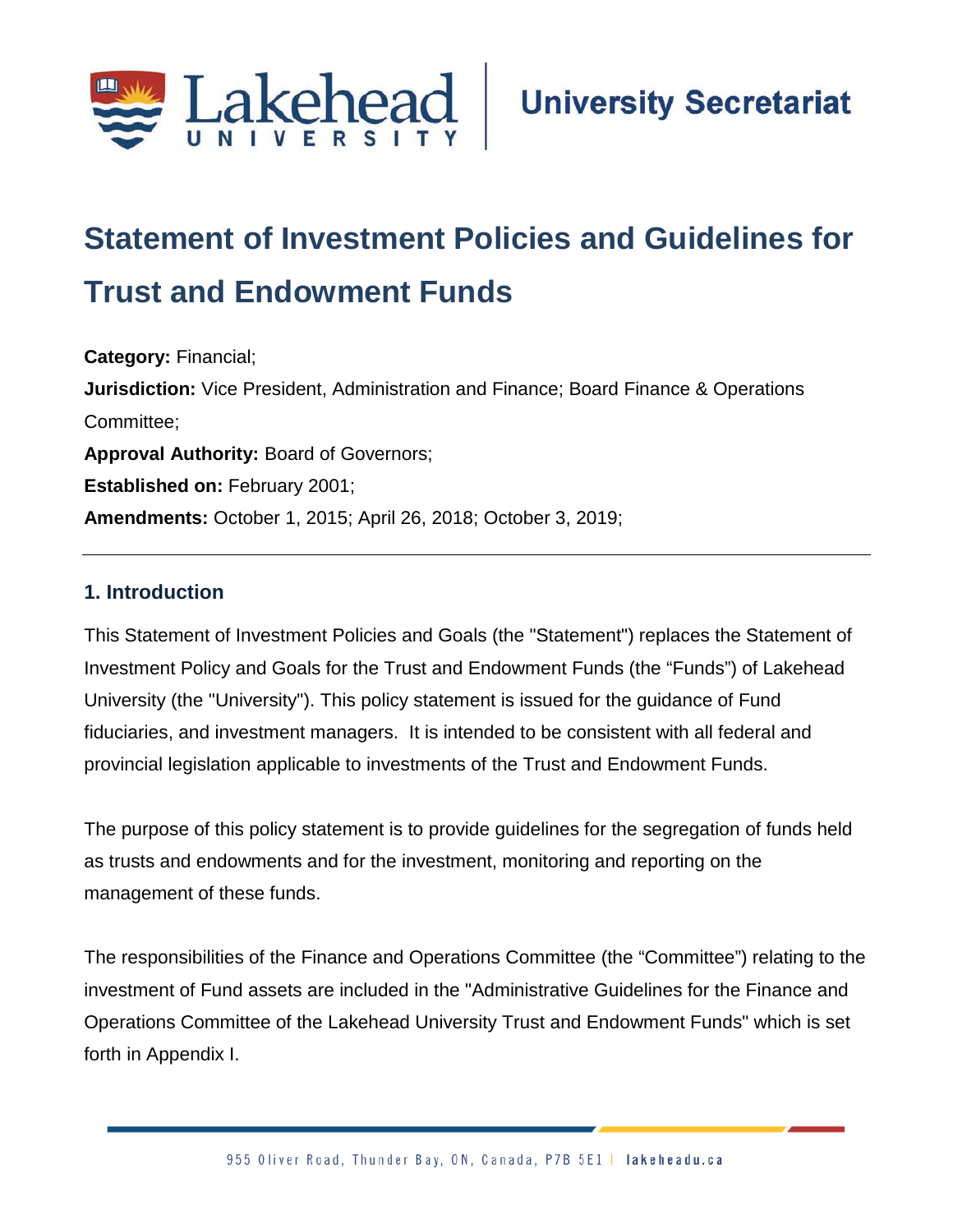

# **Statement of Investment Policies and Guidelines for Trust and Endowment Funds**

**Category:** Financial; **Jurisdiction:** Vice President, Administration and Finance; Board Finance & Operations Committee; **Approval Authority:** Board of Governors; **Established on:** February 2001; **Amendments:** October 1, 2015; April 26, 2018; October 3, 2019;

#### **1. Introduction**

This Statement of Investment Policies and Goals (the "Statement") replaces the Statement of Investment Policy and Goals for the Trust and Endowment Funds (the "Funds") of Lakehead University (the "University"). This policy statement is issued for the guidance of Fund fiduciaries, and investment managers. It is intended to be consistent with all federal and provincial legislation applicable to investments of the Trust and Endowment Funds.

The purpose of this policy statement is to provide guidelines for the segregation of funds held as trusts and endowments and for the investment, monitoring and reporting on the management of these funds.

The responsibilities of the Finance and Operations Committee (the "Committee") relating to the investment of Fund assets are included in the "Administrative Guidelines for the Finance and Operations Committee of the Lakehead University Trust and Endowment Funds" which is set forth in Appendix I.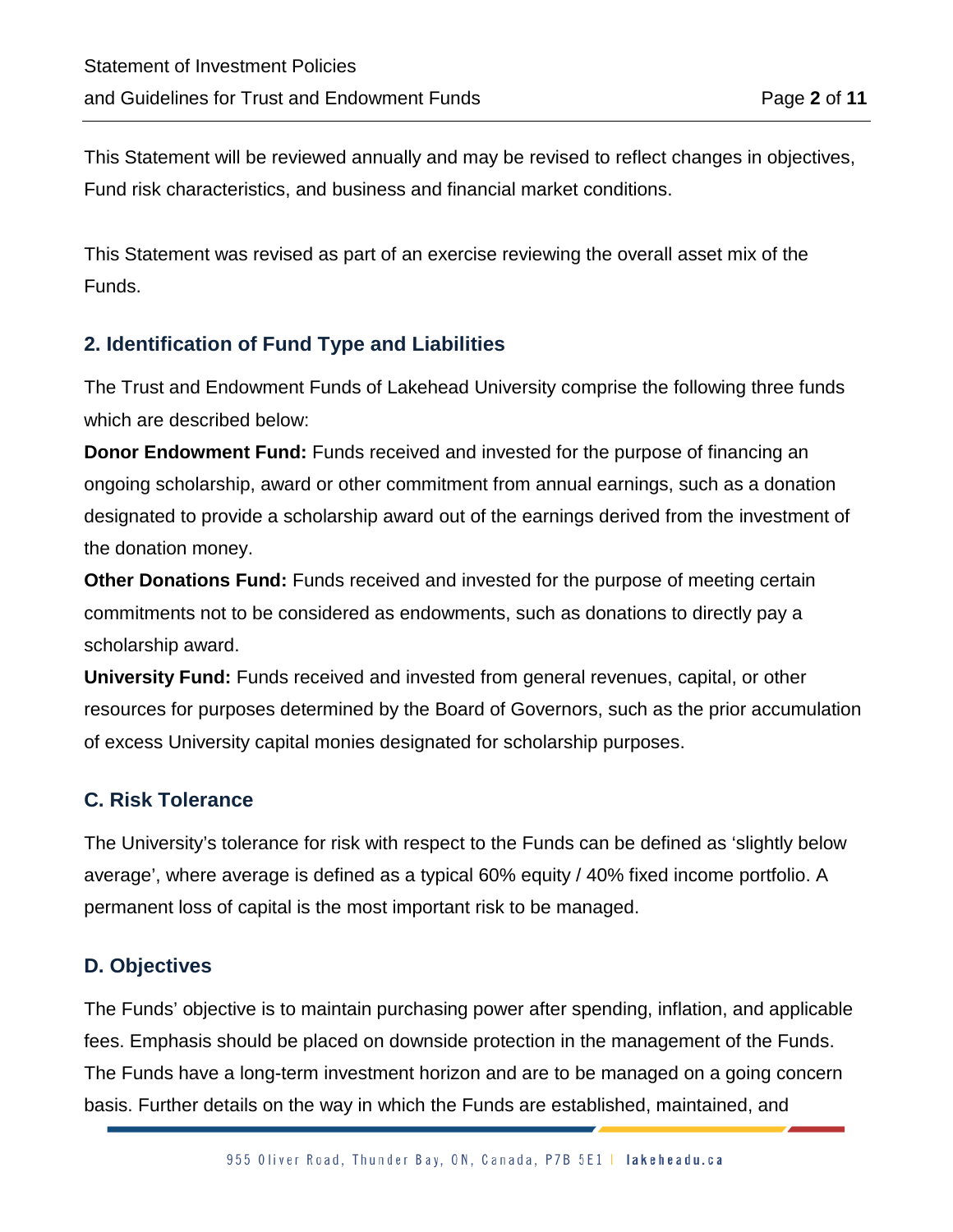This Statement will be reviewed annually and may be revised to reflect changes in objectives, Fund risk characteristics, and business and financial market conditions.

This Statement was revised as part of an exercise reviewing the overall asset mix of the Funds.

#### **2. Identification of Fund Type and Liabilities**

The Trust and Endowment Funds of Lakehead University comprise the following three funds which are described below:

**Donor Endowment Fund:** Funds received and invested for the purpose of financing an ongoing scholarship, award or other commitment from annual earnings, such as a donation designated to provide a scholarship award out of the earnings derived from the investment of the donation money.

**Other Donations Fund:** Funds received and invested for the purpose of meeting certain commitments not to be considered as endowments, such as donations to directly pay a scholarship award.

**University Fund:** Funds received and invested from general revenues, capital, or other resources for purposes determined by the Board of Governors, such as the prior accumulation of excess University capital monies designated for scholarship purposes.

#### **C. Risk Tolerance**

The University's tolerance for risk with respect to the Funds can be defined as 'slightly below average', where average is defined as a typical 60% equity / 40% fixed income portfolio. A permanent loss of capital is the most important risk to be managed.

#### **D. Objectives**

The Funds' objective is to maintain purchasing power after spending, inflation, and applicable fees. Emphasis should be placed on downside protection in the management of the Funds. The Funds have a long-term investment horizon and are to be managed on a going concern basis. Further details on the way in which the Funds are established, maintained, and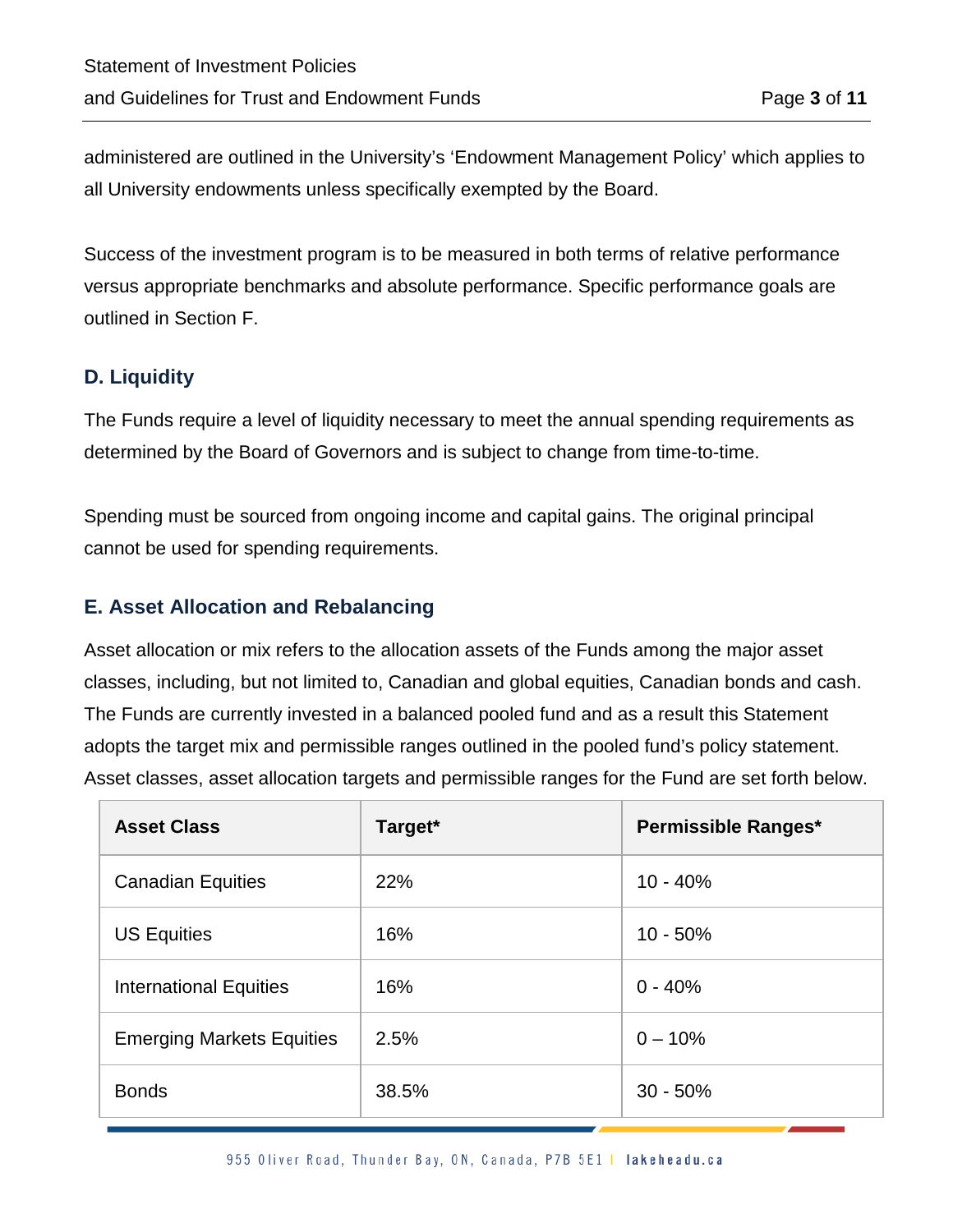administered are outlined in the University's 'Endowment Management Policy' which applies to all University endowments unless specifically exempted by the Board.

Success of the investment program is to be measured in both terms of relative performance versus appropriate benchmarks and absolute performance. Specific performance goals are outlined in Section F.

#### **D. Liquidity**

The Funds require a level of liquidity necessary to meet the annual spending requirements as determined by the Board of Governors and is subject to change from time-to-time.

Spending must be sourced from ongoing income and capital gains. The original principal cannot be used for spending requirements.

#### **E. Asset Allocation and Rebalancing**

Asset allocation or mix refers to the allocation assets of the Funds among the major asset classes, including, but not limited to, Canadian and global equities, Canadian bonds and cash. The Funds are currently invested in a balanced pooled fund and as a result this Statement adopts the target mix and permissible ranges outlined in the pooled fund's policy statement. Asset classes, asset allocation targets and permissible ranges for the Fund are set forth below.

| <b>Asset Class</b>               | Target*    | Permissible Ranges* |
|----------------------------------|------------|---------------------|
| <b>Canadian Equities</b>         | <b>22%</b> | $10 - 40%$          |
| <b>US Equities</b>               | 16%        | $10 - 50%$          |
| <b>International Equities</b>    | 16%        | $0 - 40%$           |
| <b>Emerging Markets Equities</b> | 2.5%       | $0 - 10%$           |
| <b>Bonds</b>                     | 38.5%      | $30 - 50%$          |

955 Oliver Road, Thunder Bay, ON, Canada, P7B 5E1 | lakeheadu.ca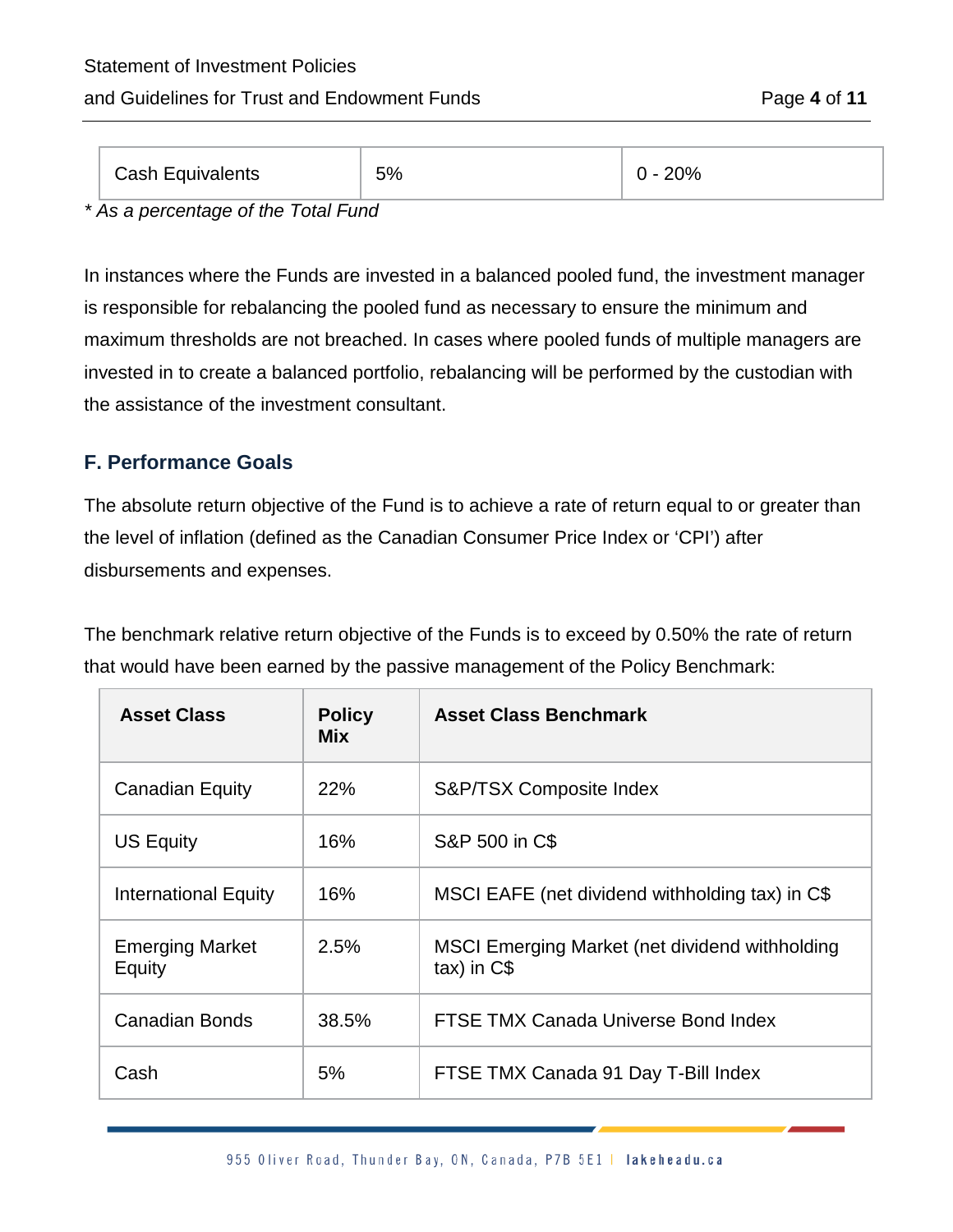### Statement of Investment Policies

#### and Guidelines for Trust and Endowment Funds Page **4** of **11**

| <b>Cash Equivalents</b> | 5% | $20\%$ |
|-------------------------|----|--------|
|-------------------------|----|--------|

*\* As a percentage of the Total Fund*

In instances where the Funds are invested in a balanced pooled fund, the investment manager is responsible for rebalancing the pooled fund as necessary to ensure the minimum and maximum thresholds are not breached. In cases where pooled funds of multiple managers are invested in to create a balanced portfolio, rebalancing will be performed by the custodian with the assistance of the investment consultant.

#### **F. Performance Goals**

The absolute return objective of the Fund is to achieve a rate of return equal to or greater than the level of inflation (defined as the Canadian Consumer Price Index or 'CPI') after disbursements and expenses.

The benchmark relative return objective of the Funds is to exceed by 0.50% the rate of return that would have been earned by the passive management of the Policy Benchmark:

| <b>Asset Class</b>               | <b>Policy</b><br><b>Mix</b> | <b>Asset Class Benchmark</b>                                     |
|----------------------------------|-----------------------------|------------------------------------------------------------------|
| <b>Canadian Equity</b>           | 22%                         | S&P/TSX Composite Index                                          |
| <b>US Equity</b>                 | 16%                         | S&P 500 in C\$                                                   |
| <b>International Equity</b>      | 16%                         | MSCI EAFE (net dividend withholding tax) in C\$                  |
| <b>Emerging Market</b><br>Equity | 2.5%                        | MSCI Emerging Market (net dividend withholding<br>$tax)$ in $C$$ |
| <b>Canadian Bonds</b>            | 38.5%                       | FTSE TMX Canada Universe Bond Index                              |
| Cash                             | 5%                          | FTSE TMX Canada 91 Day T-Bill Index                              |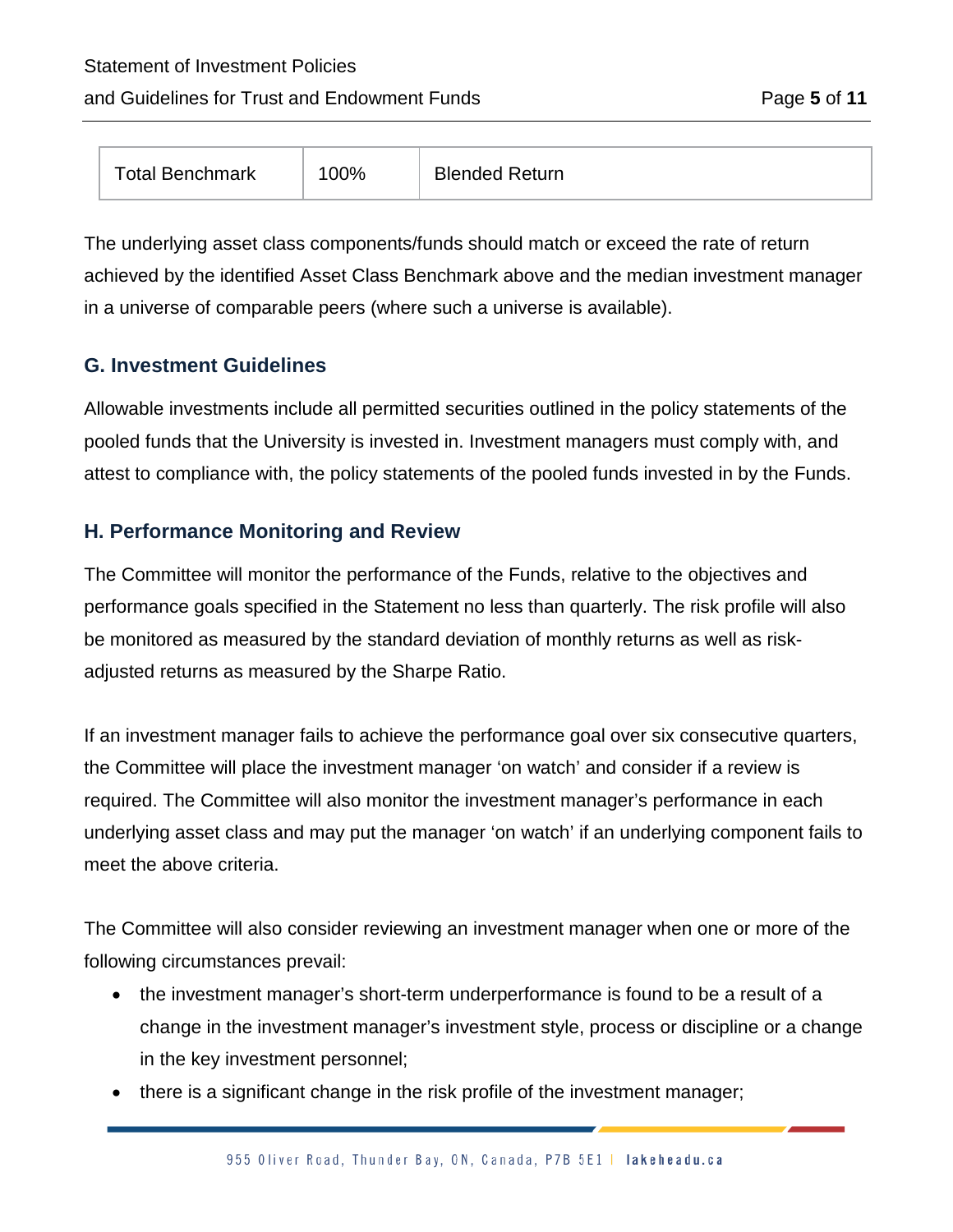#### and Guidelines for Trust and Endowment Funds Page **5** of **11**

| <b>Total Benchmark</b> | $100\%$ | <b>Blended Return</b> |
|------------------------|---------|-----------------------|
|------------------------|---------|-----------------------|

The underlying asset class components/funds should match or exceed the rate of return achieved by the identified Asset Class Benchmark above and the median investment manager in a universe of comparable peers (where such a universe is available).

#### **G. Investment Guidelines**

Allowable investments include all permitted securities outlined in the policy statements of the pooled funds that the University is invested in. Investment managers must comply with, and attest to compliance with, the policy statements of the pooled funds invested in by the Funds.

#### **H. Performance Monitoring and Review**

The Committee will monitor the performance of the Funds, relative to the objectives and performance goals specified in the Statement no less than quarterly. The risk profile will also be monitored as measured by the standard deviation of monthly returns as well as riskadjusted returns as measured by the Sharpe Ratio.

If an investment manager fails to achieve the performance goal over six consecutive quarters, the Committee will place the investment manager 'on watch' and consider if a review is required. The Committee will also monitor the investment manager's performance in each underlying asset class and may put the manager 'on watch' if an underlying component fails to meet the above criteria.

The Committee will also consider reviewing an investment manager when one or more of the following circumstances prevail:

- the investment manager's short-term underperformance is found to be a result of a change in the investment manager's investment style, process or discipline or a change in the key investment personnel;
- there is a significant change in the risk profile of the investment manager;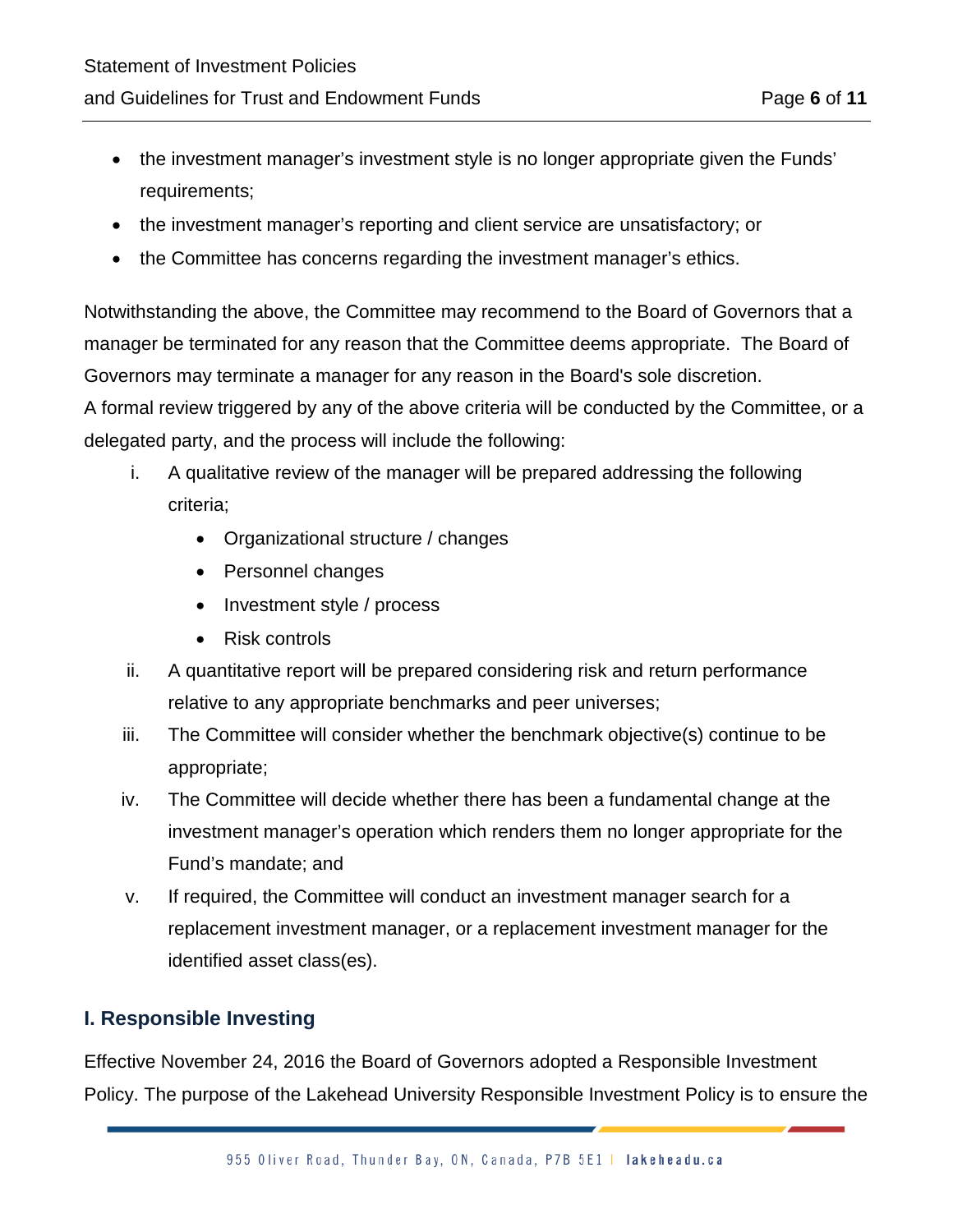- the investment manager's investment style is no longer appropriate given the Funds' requirements;
- the investment manager's reporting and client service are unsatisfactory; or
- the Committee has concerns regarding the investment manager's ethics.

Notwithstanding the above, the Committee may recommend to the Board of Governors that a manager be terminated for any reason that the Committee deems appropriate. The Board of Governors may terminate a manager for any reason in the Board's sole discretion.

A formal review triggered by any of the above criteria will be conducted by the Committee, or a delegated party, and the process will include the following:

- i. A qualitative review of the manager will be prepared addressing the following criteria;
	- Organizational structure / changes
	- Personnel changes
	- Investment style / process
	- Risk controls
- ii. A quantitative report will be prepared considering risk and return performance relative to any appropriate benchmarks and peer universes;
- iii. The Committee will consider whether the benchmark objective(s) continue to be appropriate;
- iv. The Committee will decide whether there has been a fundamental change at the investment manager's operation which renders them no longer appropriate for the Fund's mandate; and
- v. If required, the Committee will conduct an investment manager search for a replacement investment manager, or a replacement investment manager for the identified asset class(es).

#### **I. Responsible Investing**

Effective November 24, 2016 the Board of Governors adopted a Responsible Investment Policy. The purpose of the Lakehead University Responsible Investment Policy is to ensure the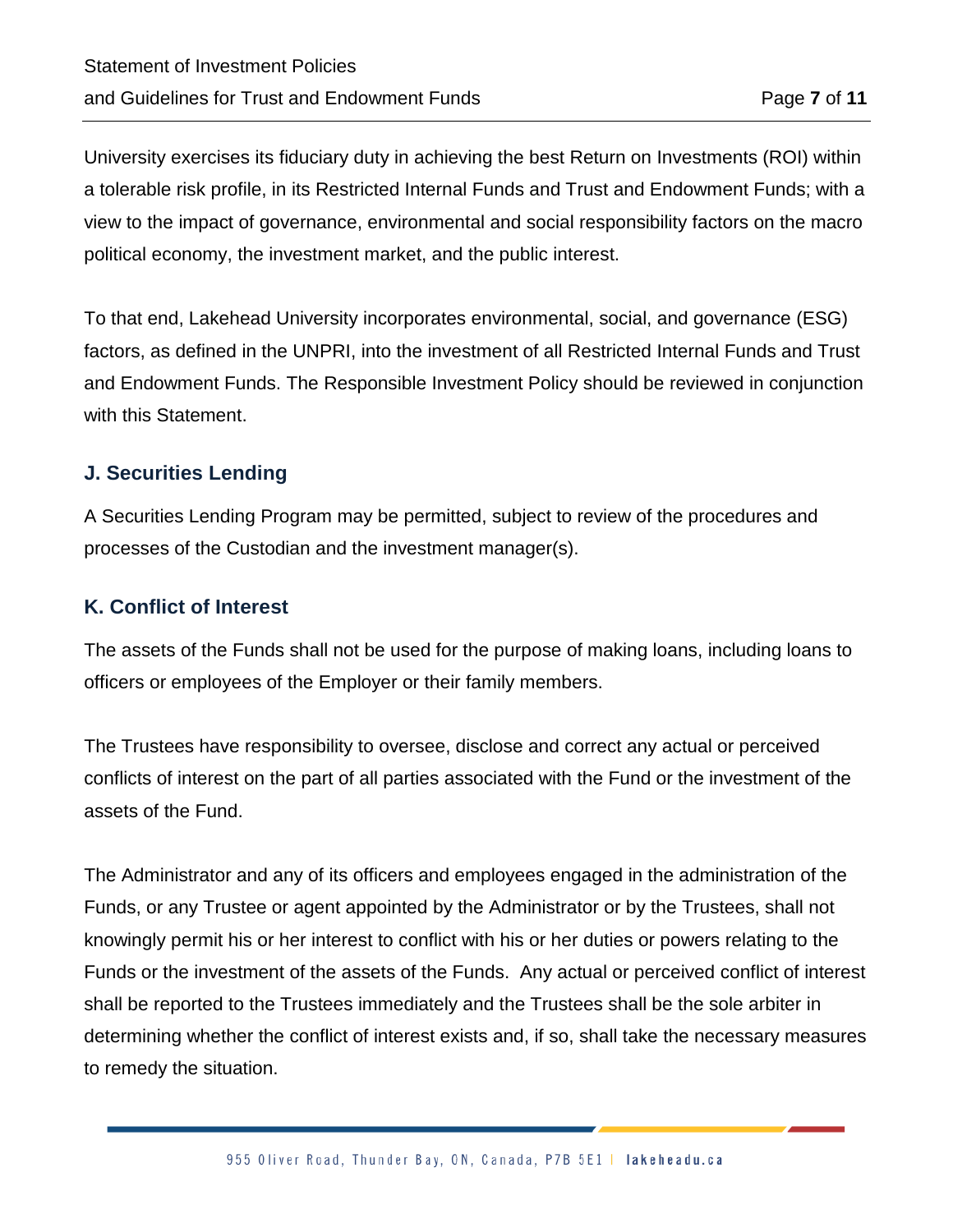University exercises its fiduciary duty in achieving the best Return on Investments (ROI) within a tolerable risk profile, in its Restricted Internal Funds and Trust and Endowment Funds; with a view to the impact of governance, environmental and social responsibility factors on the macro political economy, the investment market, and the public interest.

To that end, Lakehead University incorporates environmental, social, and governance (ESG) factors, as defined in the UNPRI, into the investment of all Restricted Internal Funds and Trust and Endowment Funds. The Responsible Investment Policy should be reviewed in conjunction with this Statement.

#### **J. Securities Lending**

A Securities Lending Program may be permitted, subject to review of the procedures and processes of the Custodian and the investment manager(s).

#### **K. Conflict of Interest**

The assets of the Funds shall not be used for the purpose of making loans, including loans to officers or employees of the Employer or their family members.

The Trustees have responsibility to oversee, disclose and correct any actual or perceived conflicts of interest on the part of all parties associated with the Fund or the investment of the assets of the Fund.

The Administrator and any of its officers and employees engaged in the administration of the Funds, or any Trustee or agent appointed by the Administrator or by the Trustees, shall not knowingly permit his or her interest to conflict with his or her duties or powers relating to the Funds or the investment of the assets of the Funds. Any actual or perceived conflict of interest shall be reported to the Trustees immediately and the Trustees shall be the sole arbiter in determining whether the conflict of interest exists and, if so, shall take the necessary measures to remedy the situation.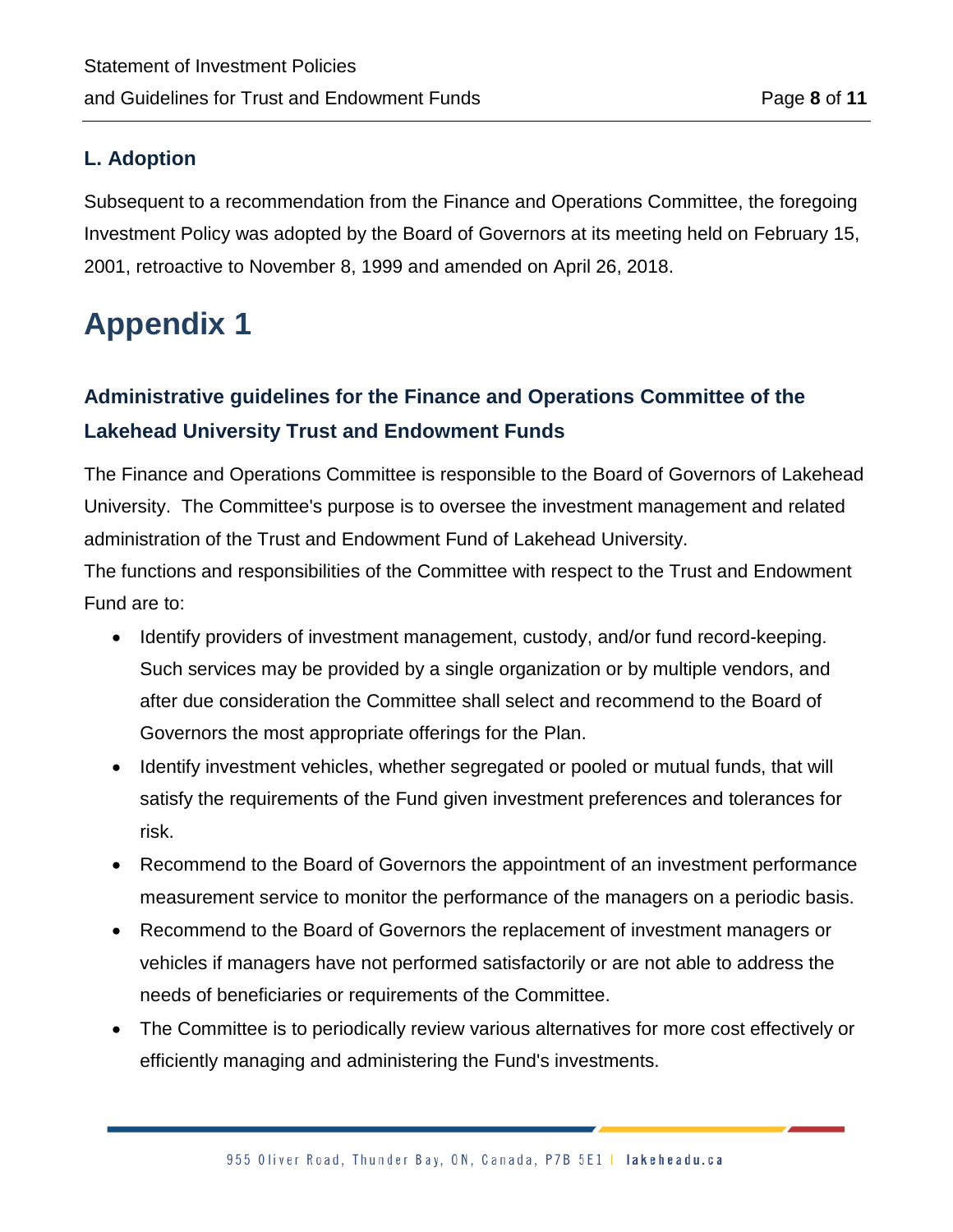#### **L. Adoption**

Subsequent to a recommendation from the Finance and Operations Committee, the foregoing Investment Policy was adopted by the Board of Governors at its meeting held on February 15, 2001, retroactive to November 8, 1999 and amended on April 26, 2018.

## **Appendix 1**

## **Administrative guidelines for the Finance and Operations Committee of the Lakehead University Trust and Endowment Funds**

The Finance and Operations Committee is responsible to the Board of Governors of Lakehead University. The Committee's purpose is to oversee the investment management and related administration of the Trust and Endowment Fund of Lakehead University.

The functions and responsibilities of the Committee with respect to the Trust and Endowment Fund are to:

- Identify providers of investment management, custody, and/or fund record-keeping. Such services may be provided by a single organization or by multiple vendors, and after due consideration the Committee shall select and recommend to the Board of Governors the most appropriate offerings for the Plan.
- Identify investment vehicles, whether segregated or pooled or mutual funds, that will satisfy the requirements of the Fund given investment preferences and tolerances for risk.
- Recommend to the Board of Governors the appointment of an investment performance measurement service to monitor the performance of the managers on a periodic basis.
- Recommend to the Board of Governors the replacement of investment managers or vehicles if managers have not performed satisfactorily or are not able to address the needs of beneficiaries or requirements of the Committee.
- The Committee is to periodically review various alternatives for more cost effectively or efficiently managing and administering the Fund's investments.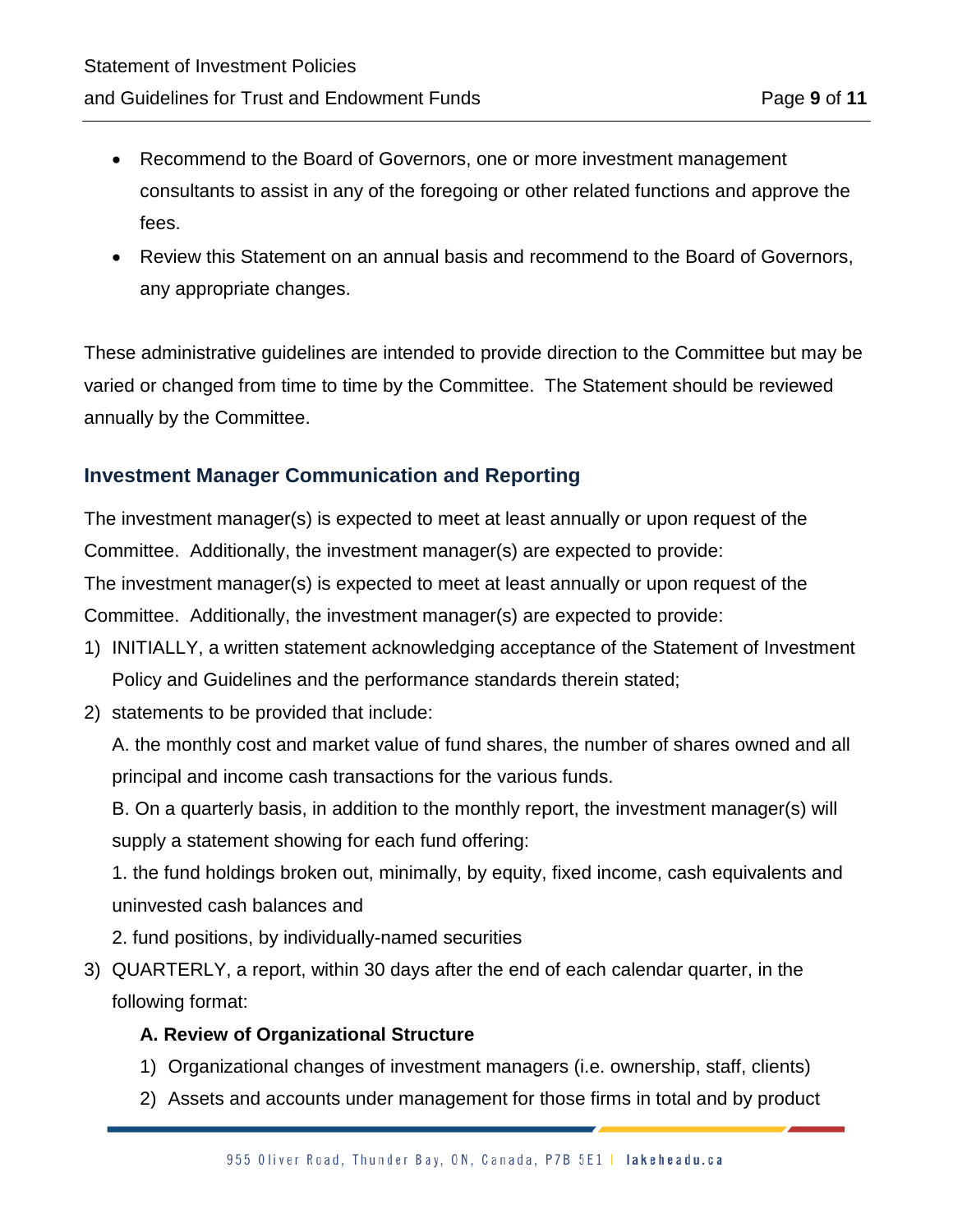- Recommend to the Board of Governors, one or more investment management consultants to assist in any of the foregoing or other related functions and approve the fees.
- Review this Statement on an annual basis and recommend to the Board of Governors, any appropriate changes.

These administrative guidelines are intended to provide direction to the Committee but may be varied or changed from time to time by the Committee. The Statement should be reviewed annually by the Committee.

#### **Investment Manager Communication and Reporting**

The investment manager(s) is expected to meet at least annually or upon request of the Committee. Additionally, the investment manager(s) are expected to provide: The investment manager(s) is expected to meet at least annually or upon request of the Committee. Additionally, the investment manager(s) are expected to provide:

- 1) INITIALLY, a written statement acknowledging acceptance of the Statement of Investment Policy and Guidelines and the performance standards therein stated;
- 2) statements to be provided that include:

A. the monthly cost and market value of fund shares, the number of shares owned and all principal and income cash transactions for the various funds.

B. On a quarterly basis, in addition to the monthly report, the investment manager(s) will supply a statement showing for each fund offering:

1. the fund holdings broken out, minimally, by equity, fixed income, cash equivalents and uninvested cash balances and

- 2. fund positions, by individually-named securities
- 3) QUARTERLY, a report, within 30 days after the end of each calendar quarter, in the following format:

#### **A. Review of Organizational Structure**

- 1) Organizational changes of investment managers (i.e. ownership, staff, clients)
- 2) Assets and accounts under management for those firms in total and by product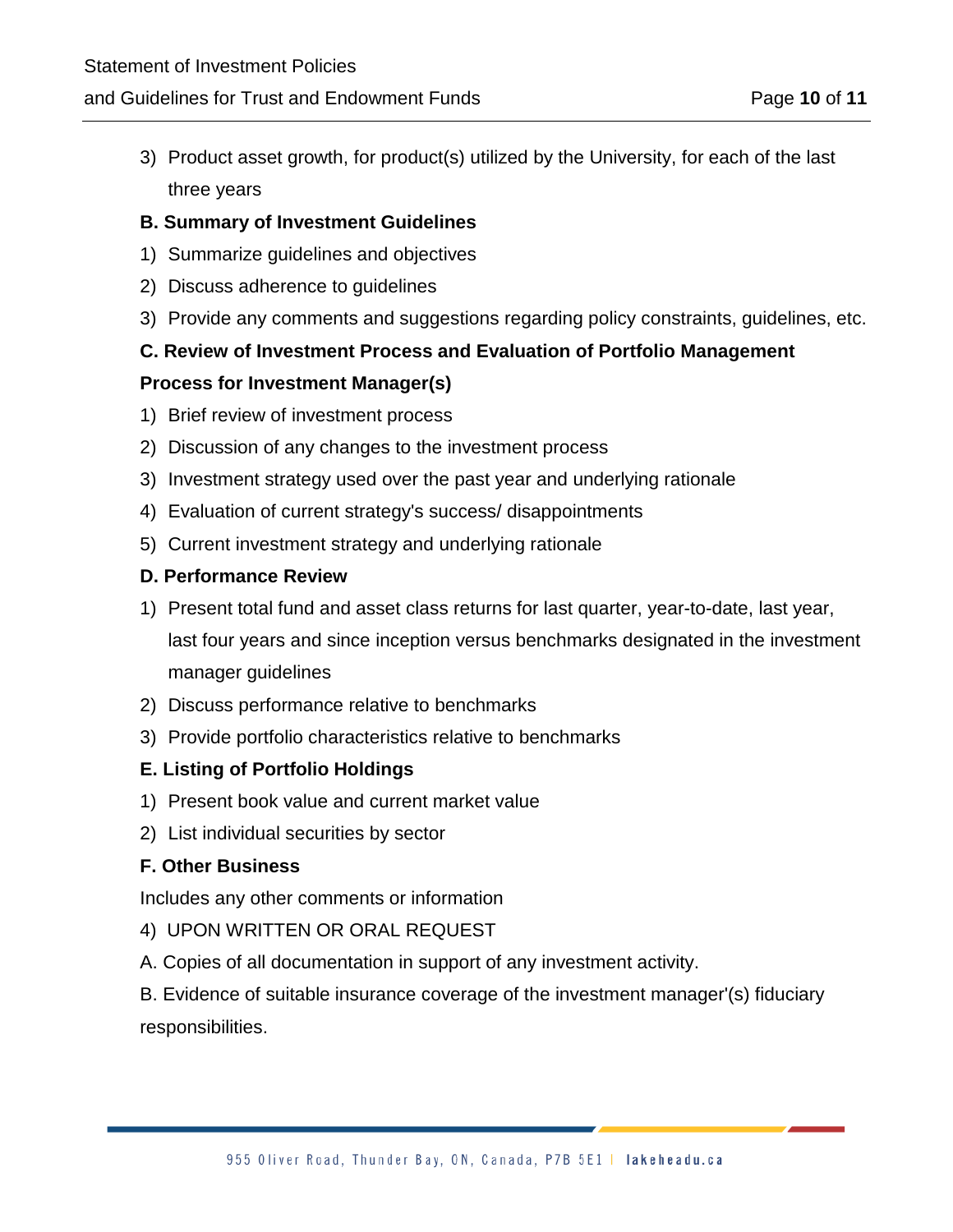3) Product asset growth, for product(s) utilized by the University, for each of the last three years

#### **B. Summary of Investment Guidelines**

- 1) Summarize guidelines and objectives
- 2) Discuss adherence to guidelines
- 3) Provide any comments and suggestions regarding policy constraints, guidelines, etc.

#### **C. Review of Investment Process and Evaluation of Portfolio Management**

#### **Process for Investment Manager(s)**

- 1) Brief review of investment process
- 2) Discussion of any changes to the investment process
- 3) Investment strategy used over the past year and underlying rationale
- 4) Evaluation of current strategy's success/ disappointments
- 5) Current investment strategy and underlying rationale

#### **D. Performance Review**

1) Present total fund and asset class returns for last quarter, year-to-date, last year,

last four years and since inception versus benchmarks designated in the investment manager guidelines

- 2) Discuss performance relative to benchmarks
- 3) Provide portfolio characteristics relative to benchmarks

#### **E. Listing of Portfolio Holdings**

- 1) Present book value and current market value
- 2) List individual securities by sector

#### **F. Other Business**

Includes any other comments or information

- 4) UPON WRITTEN OR ORAL REQUEST
- A. Copies of all documentation in support of any investment activity.

B. Evidence of suitable insurance coverage of the investment manager'(s) fiduciary responsibilities.